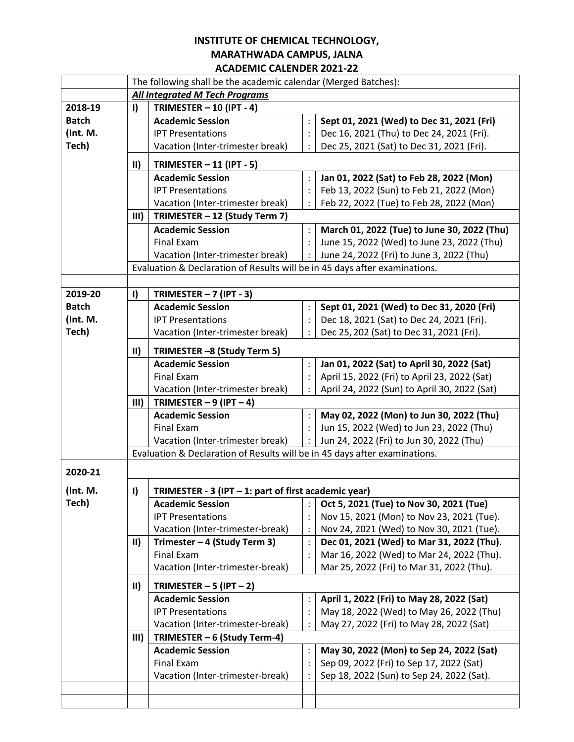## **INSTITUTE OF CHEMICAL TECHNOLOGY, MARATHWADA CAMPUS, JALNA ACADEMIC CALENDER 2021-22**

|              | The following shall be the academic calendar (Merged Batches):             |                                                                            |                |                                              |  |  |  |
|--------------|----------------------------------------------------------------------------|----------------------------------------------------------------------------|----------------|----------------------------------------------|--|--|--|
|              | <b>All Integrated M Tech Programs</b>                                      |                                                                            |                |                                              |  |  |  |
| 2018-19      | I)                                                                         | TRIMESTER $-$ 10 (IPT - 4)                                                 |                |                                              |  |  |  |
| <b>Batch</b> |                                                                            | <b>Academic Session</b>                                                    | $\vdots$       | Sept 01, 2021 (Wed) to Dec 31, 2021 (Fri)    |  |  |  |
| (Int. M.     |                                                                            | <b>IPT Presentations</b>                                                   | $\vdots$       | Dec 16, 2021 (Thu) to Dec 24, 2021 (Fri).    |  |  |  |
| Tech)        |                                                                            | Vacation (Inter-trimester break)                                           | $\ddot{\cdot}$ | Dec 25, 2021 (Sat) to Dec 31, 2021 (Fri).    |  |  |  |
|              | $\mathbf{II}$                                                              | TRIMESTER $-11$ (IPT - 5)                                                  |                |                                              |  |  |  |
|              |                                                                            | <b>Academic Session</b>                                                    | $\vdots$       | Jan 01, 2022 (Sat) to Feb 28, 2022 (Mon)     |  |  |  |
|              |                                                                            | <b>IPT Presentations</b>                                                   | $\colon$       | Feb 13, 2022 (Sun) to Feb 21, 2022 (Mon)     |  |  |  |
|              |                                                                            | Vacation (Inter-trimester break)                                           | $\ddot{\cdot}$ | Feb 22, 2022 (Tue) to Feb 28, 2022 (Mon)     |  |  |  |
|              | III)                                                                       | TRIMESTER - 12 (Study Term 7)                                              |                |                                              |  |  |  |
|              |                                                                            | <b>Academic Session</b>                                                    | $\vdots$       | March 01, 2022 (Tue) to June 30, 2022 (Thu)  |  |  |  |
|              |                                                                            | Final Exam                                                                 | $\ddot{\cdot}$ | June 15, 2022 (Wed) to June 23, 2022 (Thu)   |  |  |  |
|              |                                                                            | Vacation (Inter-trimester break)                                           |                | June 24, 2022 (Fri) to June 3, 2022 (Thu)    |  |  |  |
|              |                                                                            |                                                                            |                |                                              |  |  |  |
|              | Evaluation & Declaration of Results will be in 45 days after examinations. |                                                                            |                |                                              |  |  |  |
| 2019-20      | I)                                                                         | TRIMESTER $-7$ (IPT - 3)                                                   |                |                                              |  |  |  |
| <b>Batch</b> |                                                                            | <b>Academic Session</b>                                                    | $\ddot{\cdot}$ | Sept 01, 2021 (Wed) to Dec 31, 2020 (Fri)    |  |  |  |
| (Int. M.     |                                                                            | <b>IPT Presentations</b>                                                   | $\ddot{\cdot}$ | Dec 18, 2021 (Sat) to Dec 24, 2021 (Fri).    |  |  |  |
| Tech)        |                                                                            | Vacation (Inter-trimester break)                                           | $\ddot{\cdot}$ | Dec 25, 202 (Sat) to Dec 31, 2021 (Fri).     |  |  |  |
|              | $\mathsf{II}$<br>TRIMESTER -8 (Study Term 5)                               |                                                                            |                |                                              |  |  |  |
|              |                                                                            | <b>Academic Session</b>                                                    | $\colon$       | Jan 01, 2022 (Sat) to April 30, 2022 (Sat)   |  |  |  |
|              |                                                                            | Final Exam                                                                 | $\ddot{\cdot}$ | April 15, 2022 (Fri) to April 23, 2022 (Sat) |  |  |  |
|              |                                                                            | Vacation (Inter-trimester break)                                           | $\ddot{\cdot}$ | April 24, 2022 (Sun) to April 30, 2022 (Sat) |  |  |  |
|              | III)                                                                       | TRIMESTER $-9$ (IPT $-4$ )                                                 |                |                                              |  |  |  |
|              |                                                                            | <b>Academic Session</b>                                                    | $\ddot{\cdot}$ | May 02, 2022 (Mon) to Jun 30, 2022 (Thu)     |  |  |  |
|              |                                                                            | Final Exam                                                                 | $\ddot{\cdot}$ | Jun 15, 2022 (Wed) to Jun 23, 2022 (Thu)     |  |  |  |
|              |                                                                            | Vacation (Inter-trimester break)                                           | $\ddot{\cdot}$ | Jun 24, 2022 (Fri) to Jun 30, 2022 (Thu)     |  |  |  |
|              |                                                                            | Evaluation & Declaration of Results will be in 45 days after examinations. |                |                                              |  |  |  |
| 2020-21      |                                                                            |                                                                            |                |                                              |  |  |  |
| (Int. M.     | $\mathbf{I}$                                                               | TRIMESTER - $3$ (IPT $-1$ : part of first academic year)                   |                |                                              |  |  |  |
| Tech)        |                                                                            | <b>Academic Session</b>                                                    | $\vdots$       | Oct 5, 2021 (Tue) to Nov 30, 2021 (Tue)      |  |  |  |
|              |                                                                            | <b>IPT Presentations</b>                                                   | $\vdots$       | Nov 15, 2021 (Mon) to Nov 23, 2021 (Tue).    |  |  |  |
|              |                                                                            | Vacation (Inter-trimester-break)                                           | $\ddot{\cdot}$ | Nov 24, 2021 (Wed) to Nov 30, 2021 (Tue).    |  |  |  |
|              | $\vert \vert \vert$                                                        | Trimester - 4 (Study Term 3)                                               | $\vdots$       | Dec 01, 2021 (Wed) to Mar 31, 2022 (Thu).    |  |  |  |
|              |                                                                            | <b>Final Exam</b>                                                          | $\colon$       | Mar 16, 2022 (Wed) to Mar 24, 2022 (Thu).    |  |  |  |
|              |                                                                            | Vacation (Inter-trimester-break)                                           |                | Mar 25, 2022 (Fri) to Mar 31, 2022 (Thu).    |  |  |  |
|              | $\mathbf{II}$                                                              | TRIMESTER $-5$ (IPT $-2$ )                                                 |                |                                              |  |  |  |
|              |                                                                            | <b>Academic Session</b>                                                    | $\vdots$       | April 1, 2022 (Fri) to May 28, 2022 (Sat)    |  |  |  |
|              |                                                                            | <b>IPT Presentations</b>                                                   | $\vdots$       | May 18, 2022 (Wed) to May 26, 2022 (Thu)     |  |  |  |
|              |                                                                            | Vacation (Inter-trimester-break)                                           | $\ddot{\cdot}$ | May 27, 2022 (Fri) to May 28, 2022 (Sat)     |  |  |  |
|              | III)                                                                       | TRIMESTER - 6 (Study Term-4)                                               |                |                                              |  |  |  |
|              |                                                                            | <b>Academic Session</b>                                                    | $\vdots$       | May 30, 2022 (Mon) to Sep 24, 2022 (Sat)     |  |  |  |
|              |                                                                            | Final Exam                                                                 | $\vdots$       | Sep 09, 2022 (Fri) to Sep 17, 2022 (Sat)     |  |  |  |
|              |                                                                            | Vacation (Inter-trimester-break)                                           | $\ddot{\cdot}$ | Sep 18, 2022 (Sun) to Sep 24, 2022 (Sat).    |  |  |  |
|              |                                                                            |                                                                            |                |                                              |  |  |  |
|              |                                                                            |                                                                            |                |                                              |  |  |  |